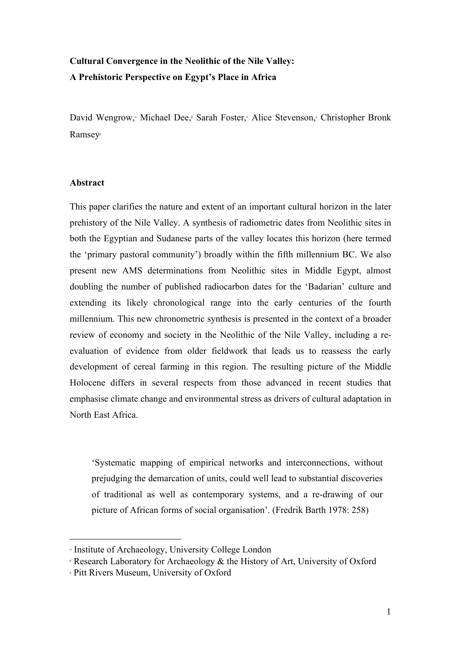# **Cultural Convergence in the Neolithic of the Nile Valley: A Prehistoric Perspective on Egypt's Place in Africa**

David Wengrow, Michael Dee, Sarah Foster, Alice Stevenson, Christopher Bronk Ramsey<sup>β</sup>

### **Abstract**

This paper clarifies the nature and extent of an important cultural horizon in the later prehistory of the Nile Valley. A synthesis of radiometric dates from Neolithic sites in both the Egyptian and Sudanese parts of the valley locates this horizon (here termed the 'primary pastoral community') broadly within the fifth millennium BC. We also present new AMS determinations from Neolithic sites in Middle Egypt, almost doubling the number of published radiocarbon dates for the 'Badarian' culture and extending its likely chronological range into the early centuries of the fourth millennium. This new chronometric synthesis is presented in the context of a broader review of economy and society in the Neolithic of the Nile Valley, including a reevaluation of evidence from older fieldwork that leads us to reassess the early development of cereal farming in this region. The resulting picture of the Middle Holocene differs in several respects from those advanced in recent studies that emphasise climate change and environmental stress as drivers of cultural adaptation in North East Africa.

'Systematic mapping of empirical networks and interconnections, without prejudging the demarcation of units, could well lead to substantial discoveries of traditional as well as contemporary systems, and a re-drawing of our picture of African forms of social organisation'. (Fredrik Barth 1978: 258)

 $\overline{a}$ 

<sup>α</sup> Institute of Archaeology, University College London

<sup>&</sup>lt;sup>β</sup> Research Laboratory for Archaeology & the History of Art, University of Oxford

<sup>χ</sup> Pitt Rivers Museum, University of Oxford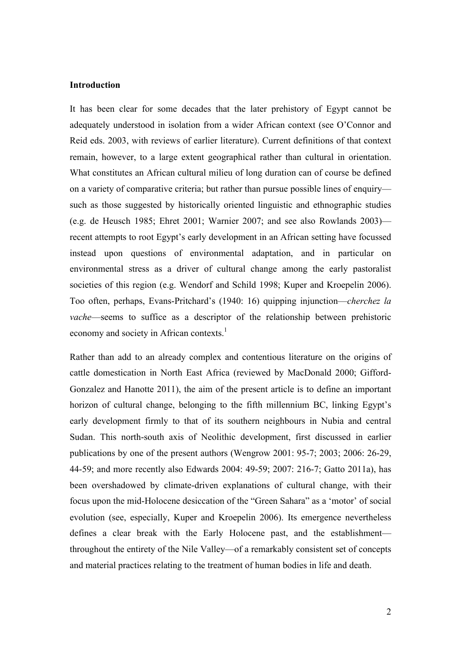#### **Introduction**

It has been clear for some decades that the later prehistory of Egypt cannot be adequately understood in isolation from a wider African context (see O'Connor and Reid eds. 2003, with reviews of earlier literature). Current definitions of that context remain, however, to a large extent geographical rather than cultural in orientation. What constitutes an African cultural milieu of long duration can of course be defined on a variety of comparative criteria; but rather than pursue possible lines of enquiry such as those suggested by historically oriented linguistic and ethnographic studies (e.g. de Heusch 1985; Ehret 2001; Warnier 2007; and see also Rowlands 2003) recent attempts to root Egypt's early development in an African setting have focussed instead upon questions of environmental adaptation, and in particular on environmental stress as a driver of cultural change among the early pastoralist societies of this region (e.g. Wendorf and Schild 1998; Kuper and Kroepelin 2006). Too often, perhaps, Evans-Pritchard's (1940: 16) quipping injunction—*cherchez la vache*—seems to suffice as a descriptor of the relationship between prehistoric economy and society in African contexts.<sup>1</sup>

Rather than add to an already complex and contentious literature on the origins of cattle domestication in North East Africa (reviewed by MacDonald 2000; Gifford-Gonzalez and Hanotte 2011), the aim of the present article is to define an important horizon of cultural change, belonging to the fifth millennium BC, linking Egypt's early development firmly to that of its southern neighbours in Nubia and central Sudan. This north-south axis of Neolithic development, first discussed in earlier publications by one of the present authors (Wengrow 2001: 95-7; 2003; 2006: 26-29, 44-59; and more recently also Edwards 2004: 49-59; 2007: 216-7; Gatto 2011a), has been overshadowed by climate-driven explanations of cultural change, with their focus upon the mid-Holocene desiccation of the "Green Sahara" as a 'motor' of social evolution (see, especially, Kuper and Kroepelin 2006). Its emergence nevertheless defines a clear break with the Early Holocene past, and the establishment throughout the entirety of the Nile Valley—of a remarkably consistent set of concepts and material practices relating to the treatment of human bodies in life and death.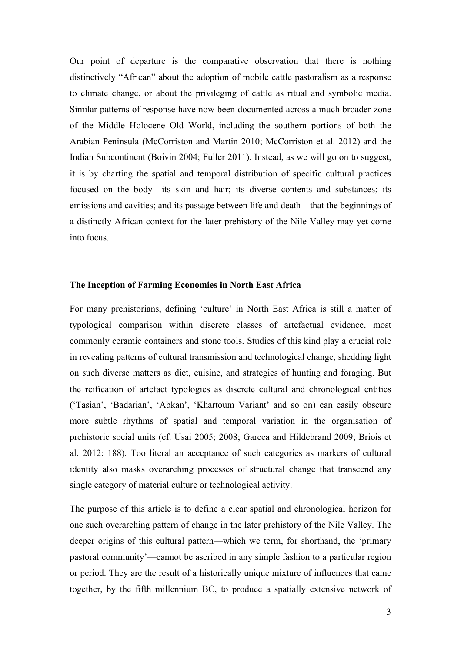Our point of departure is the comparative observation that there is nothing distinctively "African" about the adoption of mobile cattle pastoralism as a response to climate change, or about the privileging of cattle as ritual and symbolic media. Similar patterns of response have now been documented across a much broader zone of the Middle Holocene Old World, including the southern portions of both the Arabian Peninsula (McCorriston and Martin 2010; McCorriston et al. 2012) and the Indian Subcontinent (Boivin 2004; Fuller 2011). Instead, as we will go on to suggest, it is by charting the spatial and temporal distribution of specific cultural practices focused on the body—its skin and hair; its diverse contents and substances; its emissions and cavities; and its passage between life and death—that the beginnings of a distinctly African context for the later prehistory of the Nile Valley may yet come into focus.

#### **The Inception of Farming Economies in North East Africa**

For many prehistorians, defining 'culture' in North East Africa is still a matter of typological comparison within discrete classes of artefactual evidence, most commonly ceramic containers and stone tools. Studies of this kind play a crucial role in revealing patterns of cultural transmission and technological change, shedding light on such diverse matters as diet, cuisine, and strategies of hunting and foraging. But the reification of artefact typologies as discrete cultural and chronological entities ('Tasian', 'Badarian', 'Abkan', 'Khartoum Variant' and so on) can easily obscure more subtle rhythms of spatial and temporal variation in the organisation of prehistoric social units (cf. Usai 2005; 2008; Garcea and Hildebrand 2009; Briois et al. 2012: 188). Too literal an acceptance of such categories as markers of cultural identity also masks overarching processes of structural change that transcend any single category of material culture or technological activity.

The purpose of this article is to define a clear spatial and chronological horizon for one such overarching pattern of change in the later prehistory of the Nile Valley. The deeper origins of this cultural pattern—which we term, for shorthand, the 'primary pastoral community'—cannot be ascribed in any simple fashion to a particular region or period. They are the result of a historically unique mixture of influences that came together, by the fifth millennium BC, to produce a spatially extensive network of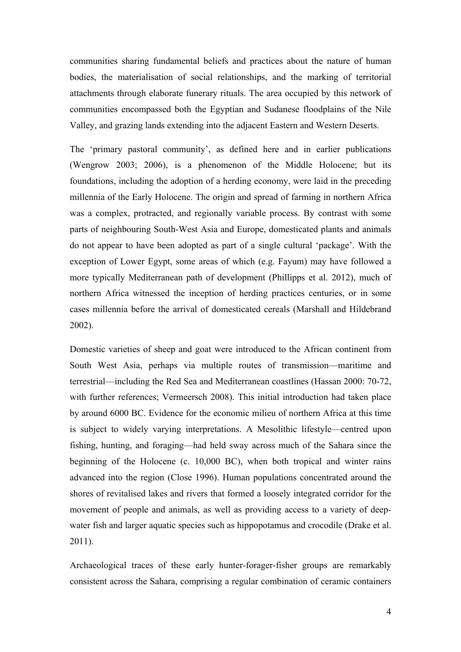communities sharing fundamental beliefs and practices about the nature of human bodies, the materialisation of social relationships, and the marking of territorial attachments through elaborate funerary rituals. The area occupied by this network of communities encompassed both the Egyptian and Sudanese floodplains of the Nile Valley, and grazing lands extending into the adjacent Eastern and Western Deserts.

The 'primary pastoral community', as defined here and in earlier publications (Wengrow 2003; 2006), is a phenomenon of the Middle Holocene; but its foundations, including the adoption of a herding economy, were laid in the preceding millennia of the Early Holocene. The origin and spread of farming in northern Africa was a complex, protracted, and regionally variable process. By contrast with some parts of neighbouring South-West Asia and Europe, domesticated plants and animals do not appear to have been adopted as part of a single cultural 'package'. With the exception of Lower Egypt, some areas of which (e.g. Fayum) may have followed a more typically Mediterranean path of development (Phillipps et al. 2012), much of northern Africa witnessed the inception of herding practices centuries, or in some cases millennia before the arrival of domesticated cereals (Marshall and Hildebrand 2002).

Domestic varieties of sheep and goat were introduced to the African continent from South West Asia, perhaps via multiple routes of transmission—maritime and terrestrial—including the Red Sea and Mediterranean coastlines (Hassan 2000: 70-72, with further references; Vermeersch 2008). This initial introduction had taken place by around 6000 BC. Evidence for the economic milieu of northern Africa at this time is subject to widely varying interpretations. A Mesolithic lifestyle—centred upon fishing, hunting, and foraging—had held sway across much of the Sahara since the beginning of the Holocene (c. 10,000 BC), when both tropical and winter rains advanced into the region (Close 1996). Human populations concentrated around the shores of revitalised lakes and rivers that formed a loosely integrated corridor for the movement of people and animals, as well as providing access to a variety of deepwater fish and larger aquatic species such as hippopotamus and crocodile (Drake et al. 2011).

Archaeological traces of these early hunter-forager-fisher groups are remarkably consistent across the Sahara, comprising a regular combination of ceramic containers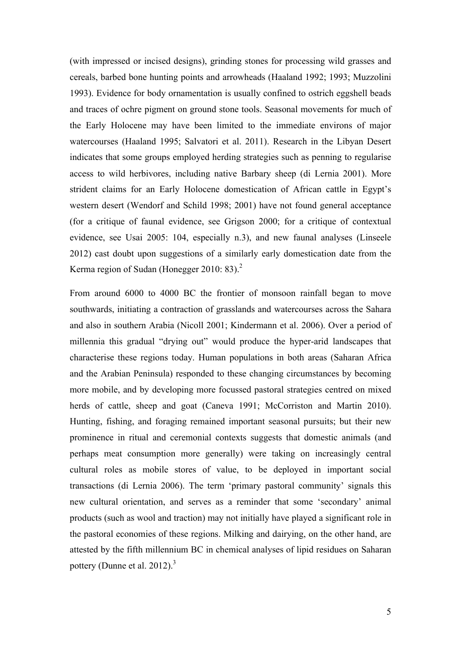(with impressed or incised designs), grinding stones for processing wild grasses and cereals, barbed bone hunting points and arrowheads (Haaland 1992; 1993; Muzzolini 1993). Evidence for body ornamentation is usually confined to ostrich eggshell beads and traces of ochre pigment on ground stone tools. Seasonal movements for much of the Early Holocene may have been limited to the immediate environs of major watercourses (Haaland 1995; Salvatori et al. 2011). Research in the Libyan Desert indicates that some groups employed herding strategies such as penning to regularise access to wild herbivores, including native Barbary sheep (di Lernia 2001). More strident claims for an Early Holocene domestication of African cattle in Egypt's western desert (Wendorf and Schild 1998; 2001) have not found general acceptance (for a critique of faunal evidence, see Grigson 2000; for a critique of contextual evidence, see Usai 2005: 104, especially n.3), and new faunal analyses (Linseele 2012) cast doubt upon suggestions of a similarly early domestication date from the Kerma region of Sudan (Honegger 2010: 83). $<sup>2</sup>$ </sup>

From around 6000 to 4000 BC the frontier of monsoon rainfall began to move southwards, initiating a contraction of grasslands and watercourses across the Sahara and also in southern Arabia (Nicoll 2001; Kindermann et al. 2006). Over a period of millennia this gradual "drying out" would produce the hyper-arid landscapes that characterise these regions today. Human populations in both areas (Saharan Africa and the Arabian Peninsula) responded to these changing circumstances by becoming more mobile, and by developing more focussed pastoral strategies centred on mixed herds of cattle, sheep and goat (Caneva 1991; McCorriston and Martin 2010). Hunting, fishing, and foraging remained important seasonal pursuits; but their new prominence in ritual and ceremonial contexts suggests that domestic animals (and perhaps meat consumption more generally) were taking on increasingly central cultural roles as mobile stores of value, to be deployed in important social transactions (di Lernia 2006). The term 'primary pastoral community' signals this new cultural orientation, and serves as a reminder that some 'secondary' animal products (such as wool and traction) may not initially have played a significant role in the pastoral economies of these regions. Milking and dairying, on the other hand, are attested by the fifth millennium BC in chemical analyses of lipid residues on Saharan pottery (Dunne et al. 2012). $3$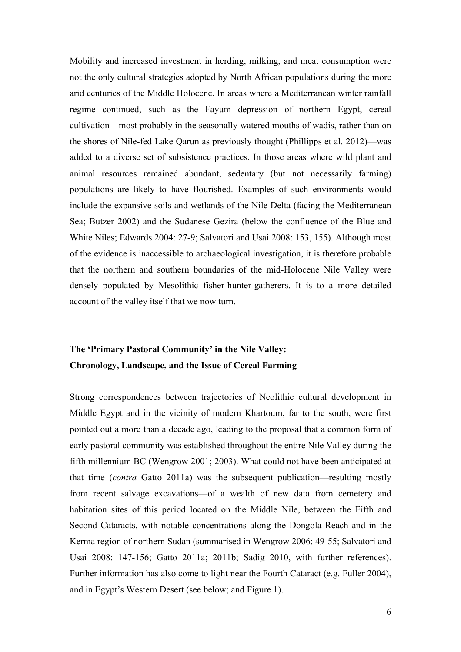Mobility and increased investment in herding, milking, and meat consumption were not the only cultural strategies adopted by North African populations during the more arid centuries of the Middle Holocene. In areas where a Mediterranean winter rainfall regime continued, such as the Fayum depression of northern Egypt, cereal cultivation—most probably in the seasonally watered mouths of wadis, rather than on the shores of Nile-fed Lake Qarun as previously thought (Phillipps et al. 2012)—was added to a diverse set of subsistence practices. In those areas where wild plant and animal resources remained abundant, sedentary (but not necessarily farming) populations are likely to have flourished. Examples of such environments would include the expansive soils and wetlands of the Nile Delta (facing the Mediterranean Sea; Butzer 2002) and the Sudanese Gezira (below the confluence of the Blue and White Niles; Edwards 2004: 27-9; Salvatori and Usai 2008: 153, 155). Although most of the evidence is inaccessible to archaeological investigation, it is therefore probable that the northern and southern boundaries of the mid-Holocene Nile Valley were densely populated by Mesolithic fisher-hunter-gatherers. It is to a more detailed account of the valley itself that we now turn.

# **The 'Primary Pastoral Community' in the Nile Valley: Chronology, Landscape, and the Issue of Cereal Farming**

Strong correspondences between trajectories of Neolithic cultural development in Middle Egypt and in the vicinity of modern Khartoum, far to the south, were first pointed out a more than a decade ago, leading to the proposal that a common form of early pastoral community was established throughout the entire Nile Valley during the fifth millennium BC (Wengrow 2001; 2003). What could not have been anticipated at that time (*contra* Gatto 2011a) was the subsequent publication—resulting mostly from recent salvage excavations—of a wealth of new data from cemetery and habitation sites of this period located on the Middle Nile, between the Fifth and Second Cataracts, with notable concentrations along the Dongola Reach and in the Kerma region of northern Sudan (summarised in Wengrow 2006: 49-55; Salvatori and Usai 2008: 147-156; Gatto 2011a; 2011b; Sadig 2010, with further references). Further information has also come to light near the Fourth Cataract (e.g. Fuller 2004), and in Egypt's Western Desert (see below; and Figure 1).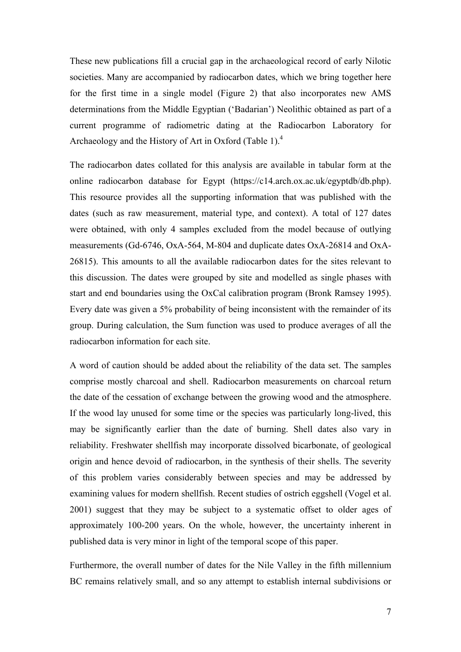These new publications fill a crucial gap in the archaeological record of early Nilotic societies. Many are accompanied by radiocarbon dates, which we bring together here for the first time in a single model (Figure 2) that also incorporates new AMS determinations from the Middle Egyptian ('Badarian') Neolithic obtained as part of a current programme of radiometric dating at the Radiocarbon Laboratory for Archaeology and the History of Art in Oxford (Table 1).<sup>4</sup>

The radiocarbon dates collated for this analysis are available in tabular form at the online radiocarbon database for Egypt (https://c14.arch.ox.ac.uk/egyptdb/db.php). This resource provides all the supporting information that was published with the dates (such as raw measurement, material type, and context). A total of 127 dates were obtained, with only 4 samples excluded from the model because of outlying measurements (Gd-6746, OxA-564, M-804 and duplicate dates OxA-26814 and OxA-26815). This amounts to all the available radiocarbon dates for the sites relevant to this discussion. The dates were grouped by site and modelled as single phases with start and end boundaries using the OxCal calibration program (Bronk Ramsey 1995). Every date was given a 5% probability of being inconsistent with the remainder of its group. During calculation, the Sum function was used to produce averages of all the radiocarbon information for each site.

A word of caution should be added about the reliability of the data set. The samples comprise mostly charcoal and shell. Radiocarbon measurements on charcoal return the date of the cessation of exchange between the growing wood and the atmosphere. If the wood lay unused for some time or the species was particularly long-lived, this may be significantly earlier than the date of burning. Shell dates also vary in reliability. Freshwater shellfish may incorporate dissolved bicarbonate, of geological origin and hence devoid of radiocarbon, in the synthesis of their shells. The severity of this problem varies considerably between species and may be addressed by examining values for modern shellfish. Recent studies of ostrich eggshell (Vogel et al. 2001) suggest that they may be subject to a systematic offset to older ages of approximately 100-200 years. On the whole, however, the uncertainty inherent in published data is very minor in light of the temporal scope of this paper.

Furthermore, the overall number of dates for the Nile Valley in the fifth millennium BC remains relatively small, and so any attempt to establish internal subdivisions or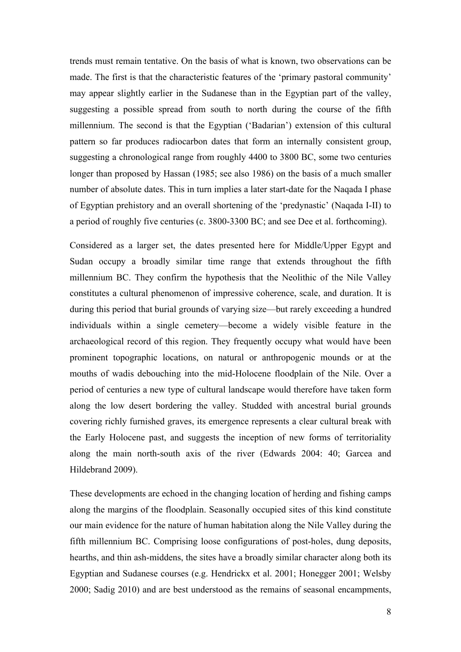trends must remain tentative. On the basis of what is known, two observations can be made. The first is that the characteristic features of the 'primary pastoral community' may appear slightly earlier in the Sudanese than in the Egyptian part of the valley, suggesting a possible spread from south to north during the course of the fifth millennium. The second is that the Egyptian ('Badarian') extension of this cultural pattern so far produces radiocarbon dates that form an internally consistent group, suggesting a chronological range from roughly 4400 to 3800 BC, some two centuries longer than proposed by Hassan (1985; see also 1986) on the basis of a much smaller number of absolute dates. This in turn implies a later start-date for the Naqada I phase of Egyptian prehistory and an overall shortening of the 'predynastic' (Naqada I-II) to a period of roughly five centuries (c. 3800-3300 BC; and see Dee et al. forthcoming).

Considered as a larger set, the dates presented here for Middle/Upper Egypt and Sudan occupy a broadly similar time range that extends throughout the fifth millennium BC. They confirm the hypothesis that the Neolithic of the Nile Valley constitutes a cultural phenomenon of impressive coherence, scale, and duration. It is during this period that burial grounds of varying size—but rarely exceeding a hundred individuals within a single cemetery—become a widely visible feature in the archaeological record of this region. They frequently occupy what would have been prominent topographic locations, on natural or anthropogenic mounds or at the mouths of wadis debouching into the mid-Holocene floodplain of the Nile. Over a period of centuries a new type of cultural landscape would therefore have taken form along the low desert bordering the valley. Studded with ancestral burial grounds covering richly furnished graves, its emergence represents a clear cultural break with the Early Holocene past, and suggests the inception of new forms of territoriality along the main north-south axis of the river (Edwards 2004: 40; Garcea and Hildebrand 2009).

These developments are echoed in the changing location of herding and fishing camps along the margins of the floodplain. Seasonally occupied sites of this kind constitute our main evidence for the nature of human habitation along the Nile Valley during the fifth millennium BC. Comprising loose configurations of post-holes, dung deposits, hearths, and thin ash-middens, the sites have a broadly similar character along both its Egyptian and Sudanese courses (e.g. Hendrickx et al. 2001; Honegger 2001; Welsby 2000; Sadig 2010) and are best understood as the remains of seasonal encampments,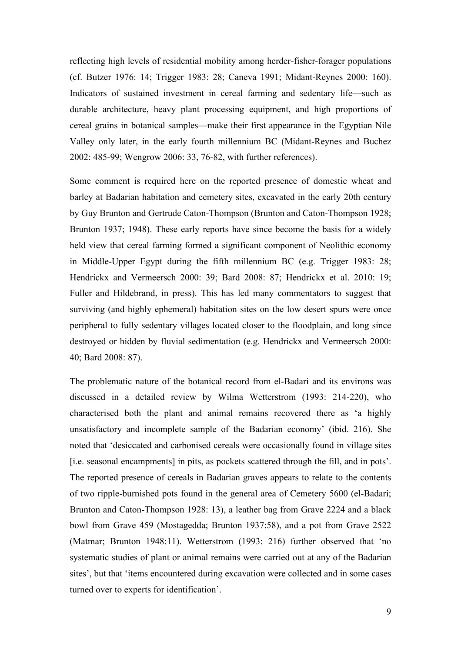reflecting high levels of residential mobility among herder-fisher-forager populations (cf. Butzer 1976: 14; Trigger 1983: 28; Caneva 1991; Midant-Reynes 2000: 160). Indicators of sustained investment in cereal farming and sedentary life—such as durable architecture, heavy plant processing equipment, and high proportions of cereal grains in botanical samples—make their first appearance in the Egyptian Nile Valley only later, in the early fourth millennium BC (Midant-Reynes and Buchez 2002: 485-99; Wengrow 2006: 33, 76-82, with further references).

Some comment is required here on the reported presence of domestic wheat and barley at Badarian habitation and cemetery sites, excavated in the early 20th century by Guy Brunton and Gertrude Caton-Thompson (Brunton and Caton-Thompson 1928; Brunton 1937; 1948). These early reports have since become the basis for a widely held view that cereal farming formed a significant component of Neolithic economy in Middle-Upper Egypt during the fifth millennium BC (e.g. Trigger 1983: 28; Hendrickx and Vermeersch 2000: 39; Bard 2008: 87; Hendrickx et al. 2010: 19; Fuller and Hildebrand, in press). This has led many commentators to suggest that surviving (and highly ephemeral) habitation sites on the low desert spurs were once peripheral to fully sedentary villages located closer to the floodplain, and long since destroyed or hidden by fluvial sedimentation (e.g. Hendrickx and Vermeersch 2000: 40; Bard 2008: 87).

The problematic nature of the botanical record from el-Badari and its environs was discussed in a detailed review by Wilma Wetterstrom (1993: 214-220), who characterised both the plant and animal remains recovered there as 'a highly unsatisfactory and incomplete sample of the Badarian economy' (ibid. 216). She noted that 'desiccated and carbonised cereals were occasionally found in village sites [i.e. seasonal encampments] in pits, as pockets scattered through the fill, and in pots'. The reported presence of cereals in Badarian graves appears to relate to the contents of two ripple-burnished pots found in the general area of Cemetery 5600 (el-Badari; Brunton and Caton-Thompson 1928: 13), a leather bag from Grave 2224 and a black bowl from Grave 459 (Mostagedda; Brunton 1937:58), and a pot from Grave 2522 (Matmar; Brunton 1948:11). Wetterstrom (1993: 216) further observed that 'no systematic studies of plant or animal remains were carried out at any of the Badarian sites', but that 'items encountered during excavation were collected and in some cases turned over to experts for identification'.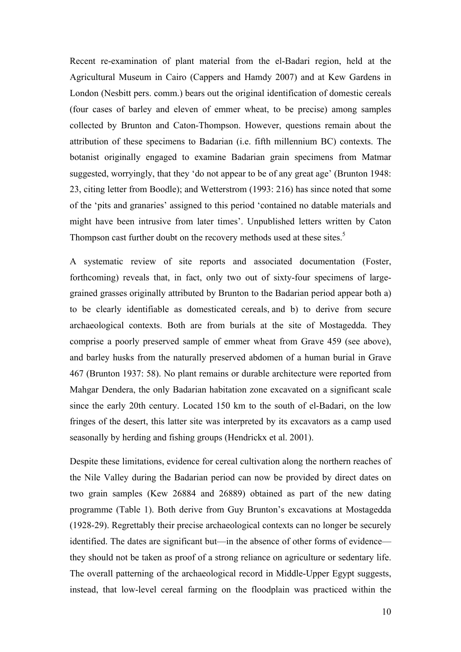Recent re-examination of plant material from the el-Badari region, held at the Agricultural Museum in Cairo (Cappers and Hamdy 2007) and at Kew Gardens in London (Nesbitt pers. comm.) bears out the original identification of domestic cereals (four cases of barley and eleven of emmer wheat, to be precise) among samples collected by Brunton and Caton-Thompson. However, questions remain about the attribution of these specimens to Badarian (i.e. fifth millennium BC) contexts. The botanist originally engaged to examine Badarian grain specimens from Matmar suggested, worryingly, that they 'do not appear to be of any great age' (Brunton 1948: 23, citing letter from Boodle); and Wetterstrom (1993: 216) has since noted that some of the 'pits and granaries' assigned to this period 'contained no datable materials and might have been intrusive from later times'. Unpublished letters written by Caton Thompson cast further doubt on the recovery methods used at these sites.<sup>5</sup>

A systematic review of site reports and associated documentation (Foster, forthcoming) reveals that, in fact, only two out of sixty-four specimens of largegrained grasses originally attributed by Brunton to the Badarian period appear both a) to be clearly identifiable as domesticated cereals, and b) to derive from secure archaeological contexts. Both are from burials at the site of Mostagedda. They comprise a poorly preserved sample of emmer wheat from Grave 459 (see above), and barley husks from the naturally preserved abdomen of a human burial in Grave 467 (Brunton 1937: 58). No plant remains or durable architecture were reported from Mahgar Dendera, the only Badarian habitation zone excavated on a significant scale since the early 20th century. Located 150 km to the south of el-Badari, on the low fringes of the desert, this latter site was interpreted by its excavators as a camp used seasonally by herding and fishing groups (Hendrickx et al. 2001).

Despite these limitations, evidence for cereal cultivation along the northern reaches of the Nile Valley during the Badarian period can now be provided by direct dates on two grain samples (Kew 26884 and 26889) obtained as part of the new dating programme (Table 1). Both derive from Guy Brunton's excavations at Mostagedda (1928-29). Regrettably their precise archaeological contexts can no longer be securely identified. The dates are significant but—in the absence of other forms of evidence they should not be taken as proof of a strong reliance on agriculture or sedentary life. The overall patterning of the archaeological record in Middle-Upper Egypt suggests, instead, that low-level cereal farming on the floodplain was practiced within the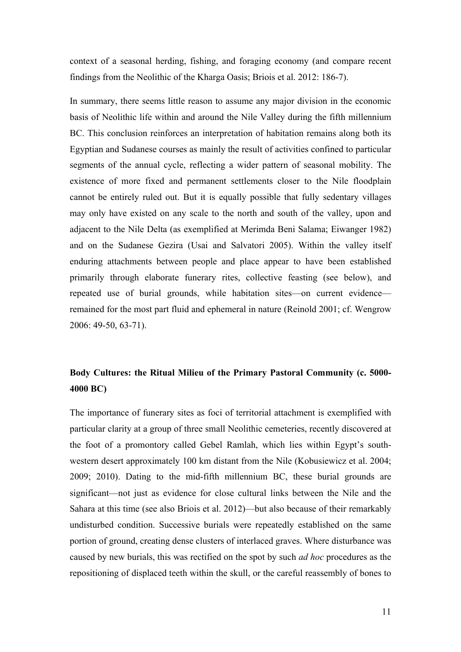context of a seasonal herding, fishing, and foraging economy (and compare recent findings from the Neolithic of the Kharga Oasis; Briois et al. 2012: 186-7).

In summary, there seems little reason to assume any major division in the economic basis of Neolithic life within and around the Nile Valley during the fifth millennium BC. This conclusion reinforces an interpretation of habitation remains along both its Egyptian and Sudanese courses as mainly the result of activities confined to particular segments of the annual cycle, reflecting a wider pattern of seasonal mobility. The existence of more fixed and permanent settlements closer to the Nile floodplain cannot be entirely ruled out. But it is equally possible that fully sedentary villages may only have existed on any scale to the north and south of the valley, upon and adjacent to the Nile Delta (as exemplified at Merimda Beni Salama; Eiwanger 1982) and on the Sudanese Gezira (Usai and Salvatori 2005). Within the valley itself enduring attachments between people and place appear to have been established primarily through elaborate funerary rites, collective feasting (see below), and repeated use of burial grounds, while habitation sites—on current evidence remained for the most part fluid and ephemeral in nature (Reinold 2001; cf. Wengrow 2006: 49-50, 63-71).

## **Body Cultures: the Ritual Milieu of the Primary Pastoral Community (c. 5000- 4000 BC)**

The importance of funerary sites as foci of territorial attachment is exemplified with particular clarity at a group of three small Neolithic cemeteries, recently discovered at the foot of a promontory called Gebel Ramlah, which lies within Egypt's southwestern desert approximately 100 km distant from the Nile (Kobusiewicz et al. 2004; 2009; 2010). Dating to the mid-fifth millennium BC, these burial grounds are significant—not just as evidence for close cultural links between the Nile and the Sahara at this time (see also Briois et al. 2012)—but also because of their remarkably undisturbed condition. Successive burials were repeatedly established on the same portion of ground, creating dense clusters of interlaced graves. Where disturbance was caused by new burials, this was rectified on the spot by such *ad hoc* procedures as the repositioning of displaced teeth within the skull, or the careful reassembly of bones to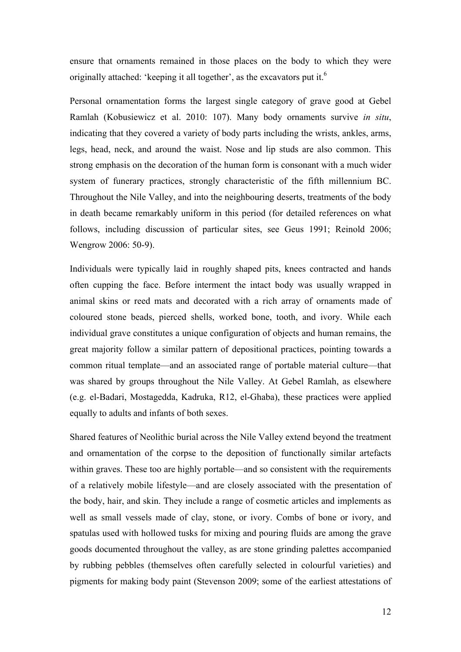ensure that ornaments remained in those places on the body to which they were originally attached: 'keeping it all together', as the excavators put it.<sup>6</sup>

Personal ornamentation forms the largest single category of grave good at Gebel Ramlah (Kobusiewicz et al. 2010: 107). Many body ornaments survive *in situ*, indicating that they covered a variety of body parts including the wrists, ankles, arms, legs, head, neck, and around the waist. Nose and lip studs are also common. This strong emphasis on the decoration of the human form is consonant with a much wider system of funerary practices, strongly characteristic of the fifth millennium BC. Throughout the Nile Valley, and into the neighbouring deserts, treatments of the body in death became remarkably uniform in this period (for detailed references on what follows, including discussion of particular sites, see Geus 1991; Reinold 2006; Wengrow 2006: 50-9).

Individuals were typically laid in roughly shaped pits, knees contracted and hands often cupping the face. Before interment the intact body was usually wrapped in animal skins or reed mats and decorated with a rich array of ornaments made of coloured stone beads, pierced shells, worked bone, tooth, and ivory. While each individual grave constitutes a unique configuration of objects and human remains, the great majority follow a similar pattern of depositional practices, pointing towards a common ritual template—and an associated range of portable material culture—that was shared by groups throughout the Nile Valley. At Gebel Ramlah, as elsewhere (e.g. el-Badari, Mostagedda, Kadruka, R12, el-Ghaba), these practices were applied equally to adults and infants of both sexes.

Shared features of Neolithic burial across the Nile Valley extend beyond the treatment and ornamentation of the corpse to the deposition of functionally similar artefacts within graves. These too are highly portable—and so consistent with the requirements of a relatively mobile lifestyle—and are closely associated with the presentation of the body, hair, and skin. They include a range of cosmetic articles and implements as well as small vessels made of clay, stone, or ivory. Combs of bone or ivory, and spatulas used with hollowed tusks for mixing and pouring fluids are among the grave goods documented throughout the valley, as are stone grinding palettes accompanied by rubbing pebbles (themselves often carefully selected in colourful varieties) and pigments for making body paint (Stevenson 2009; some of the earliest attestations of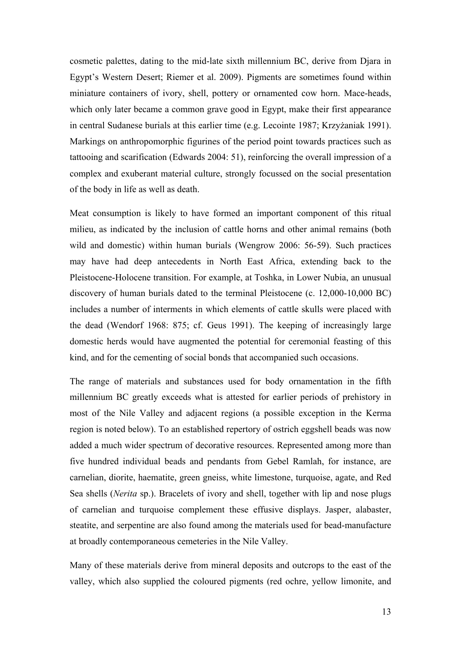cosmetic palettes, dating to the mid-late sixth millennium BC, derive from Djara in Egypt's Western Desert; Riemer et al. 2009). Pigments are sometimes found within miniature containers of ivory, shell, pottery or ornamented cow horn. Mace-heads, which only later became a common grave good in Egypt, make their first appearance in central Sudanese burials at this earlier time (e.g. Lecointe 1987; Krzyżaniak 1991). Markings on anthropomorphic figurines of the period point towards practices such as tattooing and scarification (Edwards 2004: 51), reinforcing the overall impression of a complex and exuberant material culture, strongly focussed on the social presentation of the body in life as well as death.

Meat consumption is likely to have formed an important component of this ritual milieu, as indicated by the inclusion of cattle horns and other animal remains (both wild and domestic) within human burials (Wengrow 2006: 56-59). Such practices may have had deep antecedents in North East Africa, extending back to the Pleistocene-Holocene transition. For example, at Toshka, in Lower Nubia, an unusual discovery of human burials dated to the terminal Pleistocene (c. 12,000-10,000 BC) includes a number of interments in which elements of cattle skulls were placed with the dead (Wendorf 1968: 875; cf. Geus 1991). The keeping of increasingly large domestic herds would have augmented the potential for ceremonial feasting of this kind, and for the cementing of social bonds that accompanied such occasions.

The range of materials and substances used for body ornamentation in the fifth millennium BC greatly exceeds what is attested for earlier periods of prehistory in most of the Nile Valley and adjacent regions (a possible exception in the Kerma region is noted below). To an established repertory of ostrich eggshell beads was now added a much wider spectrum of decorative resources. Represented among more than five hundred individual beads and pendants from Gebel Ramlah, for instance, are carnelian, diorite, haematite, green gneiss, white limestone, turquoise, agate, and Red Sea shells (*Nerita* sp.). Bracelets of ivory and shell, together with lip and nose plugs of carnelian and turquoise complement these effusive displays. Jasper, alabaster, steatite, and serpentine are also found among the materials used for bead-manufacture at broadly contemporaneous cemeteries in the Nile Valley.

Many of these materials derive from mineral deposits and outcrops to the east of the valley, which also supplied the coloured pigments (red ochre, yellow limonite, and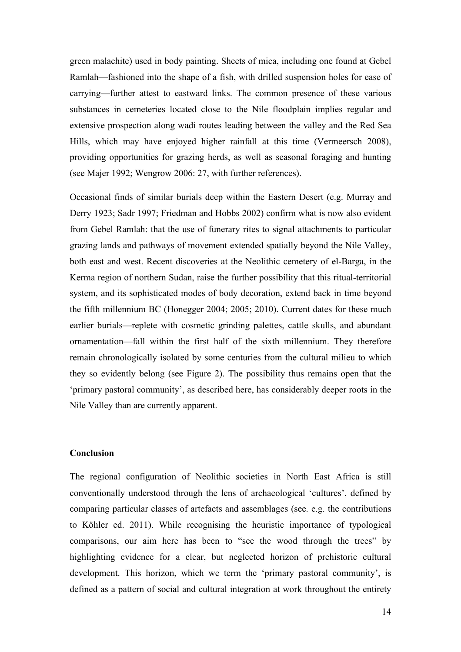green malachite) used in body painting. Sheets of mica, including one found at Gebel Ramlah—fashioned into the shape of a fish, with drilled suspension holes for ease of carrying—further attest to eastward links. The common presence of these various substances in cemeteries located close to the Nile floodplain implies regular and extensive prospection along wadi routes leading between the valley and the Red Sea Hills, which may have enjoyed higher rainfall at this time (Vermeersch 2008), providing opportunities for grazing herds, as well as seasonal foraging and hunting (see Majer 1992; Wengrow 2006: 27, with further references).

Occasional finds of similar burials deep within the Eastern Desert (e.g. Murray and Derry 1923; Sadr 1997; Friedman and Hobbs 2002) confirm what is now also evident from Gebel Ramlah: that the use of funerary rites to signal attachments to particular grazing lands and pathways of movement extended spatially beyond the Nile Valley, both east and west. Recent discoveries at the Neolithic cemetery of el-Barga, in the Kerma region of northern Sudan, raise the further possibility that this ritual-territorial system, and its sophisticated modes of body decoration, extend back in time beyond the fifth millennium BC (Honegger 2004; 2005; 2010). Current dates for these much earlier burials—replete with cosmetic grinding palettes, cattle skulls, and abundant ornamentation—fall within the first half of the sixth millennium. They therefore remain chronologically isolated by some centuries from the cultural milieu to which they so evidently belong (see Figure 2). The possibility thus remains open that the 'primary pastoral community', as described here, has considerably deeper roots in the Nile Valley than are currently apparent.

## **Conclusion**

The regional configuration of Neolithic societies in North East Africa is still conventionally understood through the lens of archaeological 'cultures', defined by comparing particular classes of artefacts and assemblages (see. e.g. the contributions to Köhler ed. 2011). While recognising the heuristic importance of typological comparisons, our aim here has been to "see the wood through the trees" by highlighting evidence for a clear, but neglected horizon of prehistoric cultural development. This horizon, which we term the 'primary pastoral community', is defined as a pattern of social and cultural integration at work throughout the entirety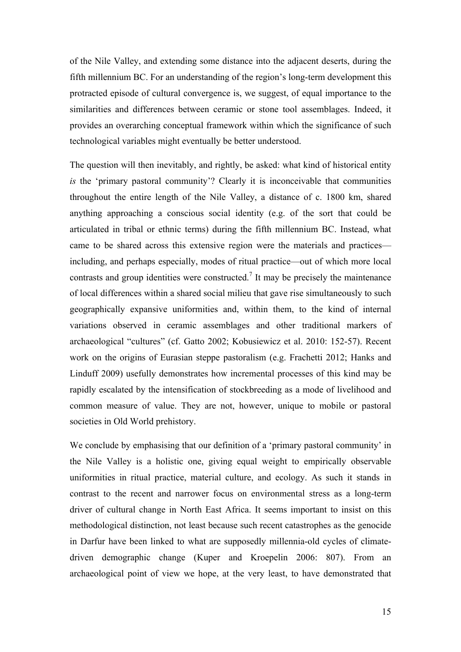of the Nile Valley, and extending some distance into the adjacent deserts, during the fifth millennium BC. For an understanding of the region's long-term development this protracted episode of cultural convergence is, we suggest, of equal importance to the similarities and differences between ceramic or stone tool assemblages. Indeed, it provides an overarching conceptual framework within which the significance of such technological variables might eventually be better understood.

The question will then inevitably, and rightly, be asked: what kind of historical entity *is* the 'primary pastoral community'? Clearly it is inconceivable that communities throughout the entire length of the Nile Valley, a distance of c. 1800 km, shared anything approaching a conscious social identity (e.g. of the sort that could be articulated in tribal or ethnic terms) during the fifth millennium BC. Instead, what came to be shared across this extensive region were the materials and practices including, and perhaps especially, modes of ritual practice—out of which more local contrasts and group identities were constructed.<sup>7</sup> It may be precisely the maintenance of local differences within a shared social milieu that gave rise simultaneously to such geographically expansive uniformities and, within them, to the kind of internal variations observed in ceramic assemblages and other traditional markers of archaeological "cultures" (cf. Gatto 2002; Kobusiewicz et al. 2010: 152-57). Recent work on the origins of Eurasian steppe pastoralism (e.g. Frachetti 2012; Hanks and Linduff 2009) usefully demonstrates how incremental processes of this kind may be rapidly escalated by the intensification of stockbreeding as a mode of livelihood and common measure of value. They are not, however, unique to mobile or pastoral societies in Old World prehistory.

We conclude by emphasising that our definition of a 'primary pastoral community' in the Nile Valley is a holistic one, giving equal weight to empirically observable uniformities in ritual practice, material culture, and ecology. As such it stands in contrast to the recent and narrower focus on environmental stress as a long-term driver of cultural change in North East Africa. It seems important to insist on this methodological distinction, not least because such recent catastrophes as the genocide in Darfur have been linked to what are supposedly millennia-old cycles of climatedriven demographic change (Kuper and Kroepelin 2006: 807). From an archaeological point of view we hope, at the very least, to have demonstrated that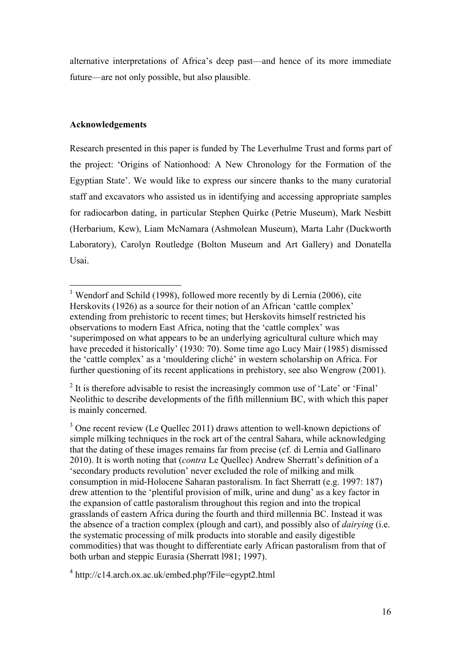alternative interpretations of Africa's deep past—and hence of its more immediate future—are not only possible, but also plausible.

## **Acknowledgements**

Research presented in this paper is funded by The Leverhulme Trust and forms part of the project: 'Origins of Nationhood: A New Chronology for the Formation of the Egyptian State'. We would like to express our sincere thanks to the many curatorial staff and excavators who assisted us in identifying and accessing appropriate samples for radiocarbon dating, in particular Stephen Quirke (Petrie Museum), Mark Nesbitt (Herbarium, Kew), Liam McNamara (Ashmolean Museum), Marta Lahr (Duckworth Laboratory), Carolyn Routledge (Bolton Museum and Art Gallery) and Donatella Usai.

<sup>&</sup>lt;sup>1</sup> Wendorf and Schild (1998), followed more recently by di Lernia (2006), cite Herskovits (1926) as a source for their notion of an African 'cattle complex' extending from prehistoric to recent times; but Herskovits himself restricted his observations to modern East Africa, noting that the 'cattle complex' was 'superimposed on what appears to be an underlying agricultural culture which may have preceded it historically' (1930: 70). Some time ago Lucy Mair (1985) dismissed the 'cattle complex' as a 'mouldering cliché' in western scholarship on Africa. For further questioning of its recent applications in prehistory, see also Wengrow (2001).

 $2$  It is therefore advisable to resist the increasingly common use of 'Late' or 'Final' Neolithic to describe developments of the fifth millennium BC, with which this paper is mainly concerned.

 $3$  One recent review (Le Quellec 2011) draws attention to well-known depictions of simple milking techniques in the rock art of the central Sahara, while acknowledging that the dating of these images remains far from precise (cf. di Lernia and Gallinaro 2010). It is worth noting that (*contra* Le Quellec) Andrew Sherratt's definition of a 'secondary products revolution' never excluded the role of milking and milk consumption in mid-Holocene Saharan pastoralism. In fact Sherratt (e.g. 1997: 187) drew attention to the 'plentiful provision of milk, urine and dung' as a key factor in the expansion of cattle pastoralism throughout this region and into the tropical grasslands of eastern Africa during the fourth and third millennia BC. Instead it was the absence of a traction complex (plough and cart), and possibly also of *dairying* (i.e. the systematic processing of milk products into storable and easily digestible commodities) that was thought to differentiate early African pastoralism from that of both urban and steppic Eurasia (Sherratt l981; 1997).

 $4 \text{ http://c14.archive.com.uk/embed.php?File=egypt2.html}$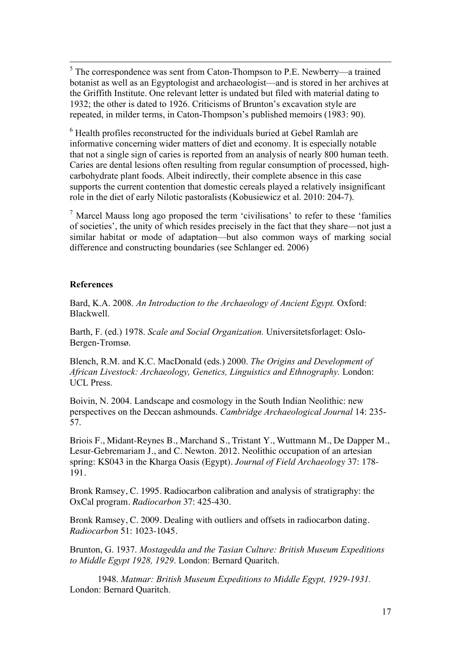5 The correspondence was sent from Caton-Thompson to P.E. Newberry—a trained botanist as well as an Egyptologist and archaeologist—and is stored in her archives at the Griffith Institute. One relevant letter is undated but filed with material dating to 1932; the other is dated to 1926. Criticisms of Brunton's excavation style are repeated, in milder terms, in Caton-Thompson's published memoirs (1983: 90).

<sup>6</sup> Health profiles reconstructed for the individuals buried at Gebel Ramlah are informative concerning wider matters of diet and economy. It is especially notable that not a single sign of caries is reported from an analysis of nearly 800 human teeth. Caries are dental lesions often resulting from regular consumption of processed, highcarbohydrate plant foods. Albeit indirectly, their complete absence in this case supports the current contention that domestic cereals played a relatively insignificant role in the diet of early Nilotic pastoralists (Kobusiewicz et al. 2010: 204-7).

<sup>7</sup> Marcel Mauss long ago proposed the term 'civilisations' to refer to these 'families of societies', the unity of which resides precisely in the fact that they share—not just a similar habitat or mode of adaptation—but also common ways of marking social difference and constructing boundaries (see Schlanger ed. 2006)

### **References**

Bard, K.A. 2008. *An Introduction to the Archaeology of Ancient Egypt.* Oxford: Blackwell.

Barth, F. (ed.) 1978. *Scale and Social Organization.* Universitetsforlaget: Oslo-Bergen-Tromsø.

Blench, R.M. and K.C. MacDonald (eds.) 2000. *The Origins and Development of African Livestock: Archaeology, Genetics, Linguistics and Ethnography.* London: UCL Press.

Boivin, N. 2004. Landscape and cosmology in the South Indian Neolithic: new perspectives on the Deccan ashmounds. *Cambridge Archaeological Journal* 14: 235- 57.

Briois F., Midant-Reynes B., Marchand S., Tristant Y., Wuttmann M., De Dapper M., Lesur-Gebremariam J., and C. Newton. 2012. Neolithic occupation of an artesian spring: KS043 in the Kharga Oasis (Egypt). *Journal of Field Archaeology* 37: 178- 191.

Bronk Ramsey, C. 1995. Radiocarbon calibration and analysis of stratigraphy: the OxCal program. *Radiocarbon* 37: 425-430.

Bronk Ramsey, C. 2009. Dealing with outliers and offsets in radiocarbon dating. *Radiocarbon* 51: 1023-1045.

Brunton, G. 1937. *Mostagedda and the Tasian Culture: British Museum Expeditions to Middle Egypt 1928, 1929*. London: Bernard Quaritch.

1948. *Matmar: British Museum Expeditions to Middle Egypt, 1929-1931.* London: Bernard Quaritch.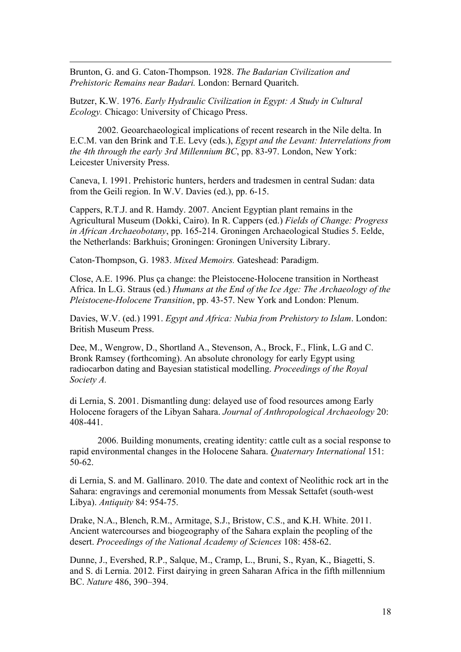Brunton, G. and G. Caton-Thompson. 1928. *The Badarian Civilization and Prehistoric Remains near Badari.* London: Bernard Quaritch.

 $\overline{a}$ 

Butzer, K.W. 1976. *Early Hydraulic Civilization in Egypt: A Study in Cultural Ecology.* Chicago: University of Chicago Press.

2002. Geoarchaeological implications of recent research in the Nile delta. In E.C.M. van den Brink and T.E. Levy (eds.), *Egypt and the Levant: Interrelations from the 4th through the early 3rd Millennium BC*, pp. 83-97. London, New York: Leicester University Press.

Caneva, I. 1991. Prehistoric hunters, herders and tradesmen in central Sudan: data from the Geili region. In W.V. Davies (ed.), pp. 6-15.

Cappers, R.T.J. and R. Hamdy. 2007. Ancient Egyptian plant remains in the Agricultural Museum (Dokki, Cairo). In R. Cappers (ed.) *Fields of Change: Progress in African Archaeobotany*, pp. 165-214. Groningen Archaeological Studies 5. Eelde, the Netherlands: Barkhuis; Groningen: Groningen University Library.

Caton-Thompson, G. 1983. *Mixed Memoirs.* Gateshead: Paradigm.

Close, A.E. 1996. Plus ça change: the Pleistocene-Holocene transition in Northeast Africa. In L.G. Straus (ed.) *Humans at the End of the Ice Age: The Archaeology of the Pleistocene-Holocene Transition*, pp. 43-57. New York and London: Plenum.

Davies, W.V. (ed.) 1991. *Egypt and Africa: Nubia from Prehistory to Islam*. London: British Museum Press.

Dee, M., Wengrow, D., Shortland A., Stevenson, A., Brock, F., Flink, L.G and C. Bronk Ramsey (forthcoming). An absolute chronology for early Egypt using radiocarbon dating and Bayesian statistical modelling. *Proceedings of the Royal Society A.*

di Lernia, S. 2001. Dismantling dung: delayed use of food resources among Early Holocene foragers of the Libyan Sahara. *Journal of Anthropological Archaeology* 20: 408-441.

2006. Building monuments, creating identity: cattle cult as a social response to rapid environmental changes in the Holocene Sahara. *Quaternary International* 151: 50-62.

di Lernia, S. and M. Gallinaro. 2010. The date and context of Neolithic rock art in the Sahara: engravings and ceremonial monuments from Messak Settafet (south-west Libya). *Antiquity* 84: 954-75.

Drake, N.A., Blench, R.M., Armitage, S.J., Bristow, C.S., and K.H. White. 2011. Ancient watercourses and biogeography of the Sahara explain the peopling of the desert. *Proceedings of the National Academy of Sciences* 108: 458-62.

Dunne, J., Evershed, R.P., Salque, M., Cramp, L., Bruni, S., Ryan, K., Biagetti, S. and S. di Lernia. 2012. First dairying in green Saharan Africa in the fifth millennium BC. *Nature* 486, 390–394.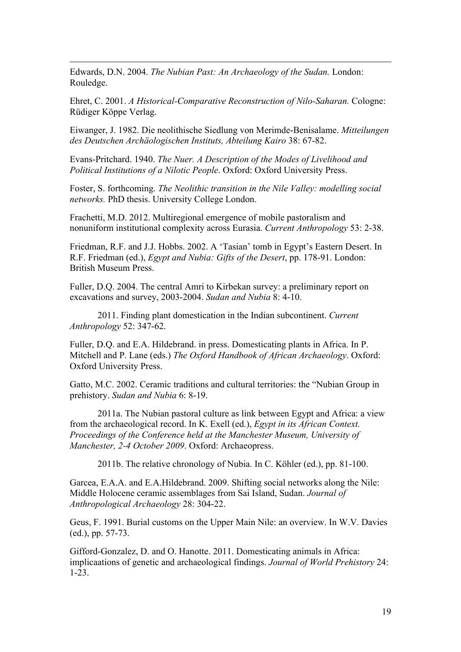Edwards, D.N. 2004. *The Nubian Past: An Archaeology of the Sudan.* London: Rouledge.

 $\overline{a}$ 

Ehret, C. 2001. *A Historical-Comparative Reconstruction of Nilo-Saharan.* Cologne: Rüdiger Köppe Verlag.

Eiwanger, J. 1982. Die neolithische Siedlung von Merimde-Benisalame. *Mitteilungen des Deutschen Archäologischen Instituts, Abteilung Kairo* 38: 67-82.

Evans-Pritchard. 1940. *The Nuer. A Description of the Modes of Livelihood and Political Institutions of a Nilotic People*. Oxford: Oxford University Press.

Foster, S. forthcoming. *The Neolithic transition in the Nile Valley: modelling social networks.* PhD thesis. University College London.

Frachetti, M.D. 2012. Multiregional emergence of mobile pastoralism and nonuniform institutional complexity across Eurasia. *Current Anthropology* 53: 2-38.

Friedman, R.F. and J.J. Hobbs. 2002. A 'Tasian' tomb in Egypt's Eastern Desert. In R.F. Friedman (ed.), *Egypt and Nubia: Gifts of the Desert*, pp. 178-91. London: British Museum Press.

Fuller, D.Q. 2004. The central Amri to Kirbekan survey: a preliminary report on excavations and survey, 2003-2004. *Sudan and Nubia* 8: 4-10.

2011. Finding plant domestication in the Indian subcontinent. *Current Anthropology* 52: 347-62.

Fuller, D.Q. and E.A. Hildebrand. in press. Domesticating plants in Africa. In P. Mitchell and P. Lane (eds.) *The Oxford Handbook of African Archaeology*. Oxford: Oxford University Press.

Gatto, M.C. 2002. Ceramic traditions and cultural territories: the "Nubian Group in prehistory. *Sudan and Nubia* 6: 8-19.

2011a. The Nubian pastoral culture as link between Egypt and Africa: a view from the archaeological record. In K. Exell (ed.), *Egypt in its African Context. Proceedings of the Conference held at the Manchester Museum, University of Manchester, 2-4 October 2009*. Oxford: Archaeopress.

2011b. The relative chronology of Nubia. In C. Köhler (ed.), pp. 81-100.

Garcea, E.A.A. and E.A.Hildebrand. 2009. Shifting social networks along the Nile: Middle Holocene ceramic assemblages from Sai Island, Sudan. *Journal of Anthropological Archaeology* 28: 304-22.

Geus, F. 1991. Burial customs on the Upper Main Nile: an overview. In W.V. Davies (ed.), pp. 57-73.

Gifford-Gonzalez, D. and O. Hanotte. 2011. Domesticating animals in Africa: implicaations of genetic and archaeological findings. *Journal of World Prehistory* 24: 1-23.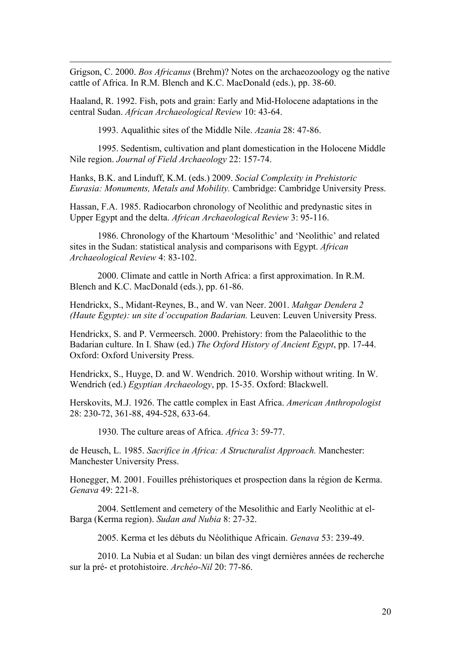Grigson, C. 2000. *Bos Africanus* (Brehm)? Notes on the archaeozoology og the native cattle of Africa. In R.M. Blench and K.C. MacDonald (eds.), pp. 38-60.

Haaland, R. 1992. Fish, pots and grain: Early and Mid-Holocene adaptations in the central Sudan. *African Archaeological Review* 10: 43-64.

1993. Aqualithic sites of the Middle Nile. *Azania* 28: 47-86.

 $\overline{a}$ 

1995. Sedentism, cultivation and plant domestication in the Holocene Middle Nile region. *Journal of Field Archaeology* 22: 157-74.

Hanks, B.K. and Linduff, K.M. (eds.) 2009. *Social Complexity in Prehistoric Eurasia: Monuments, Metals and Mobility.* Cambridge: Cambridge University Press.

Hassan, F.A. 1985. Radiocarbon chronology of Neolithic and predynastic sites in Upper Egypt and the delta. *African Archaeological Review* 3: 95-116.

1986. Chronology of the Khartoum 'Mesolithic' and 'Neolithic' and related sites in the Sudan: statistical analysis and comparisons with Egypt. *African Archaeological Review* 4: 83-102.

2000. Climate and cattle in North Africa: a first approximation. In R.M. Blench and K.C. MacDonald (eds.), pp. 61-86.

Hendrickx, S., Midant-Reynes, B., and W. van Neer. 2001. *Mahgar Dendera 2 (Haute Egypte): un site d'occupation Badarian.* Leuven: Leuven University Press.

Hendrickx, S. and P. Vermeersch. 2000. Prehistory: from the Palaeolithic to the Badarian culture. In I. Shaw (ed.) *The Oxford History of Ancient Egypt*, pp. 17-44. Oxford: Oxford University Press.

Hendrickx, S., Huyge, D. and W. Wendrich. 2010. Worship without writing. In W. Wendrich (ed.) *Egyptian Archaeology*, pp. 15-35. Oxford: Blackwell.

Herskovits, M.J. 1926. The cattle complex in East Africa. *American Anthropologist* 28: 230-72, 361-88, 494-528, 633-64.

1930. The culture areas of Africa. *Africa* 3: 59-77.

de Heusch, L. 1985. *Sacrifice in Africa: A Structuralist Approach.* Manchester: Manchester University Press.

Honegger, M. 2001. Fouilles préhistoriques et prospection dans la région de Kerma. *Genava* 49: 221-8.

2004. Settlement and cemetery of the Mesolithic and Early Neolithic at el-Barga (Kerma region). *Sudan and Nubia* 8: 27-32.

2005. Kerma et les débuts du Néolithique Africain. *Genava* 53: 239-49.

2010. La Nubia et al Sudan: un bilan des vingt dernières années de recherche sur la pré- et protohistoire. *Archéo-Nil* 20: 77-86.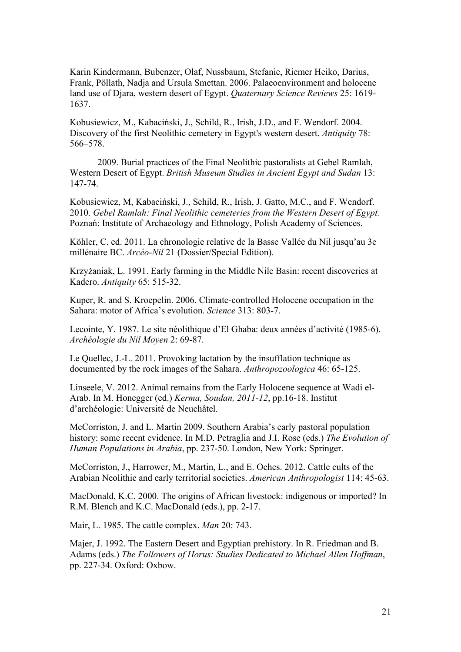Karin Kindermann, Bubenzer, Olaf, Nussbaum, Stefanie, Riemer Heiko, Darius, Frank, Pöllath, Nadja and Ursula Smettan. 2006. Palaeoenvironment and holocene land use of Djara, western desert of Egypt. *Quaternary Science Reviews* 25: 1619- 1637.

 $\overline{a}$ 

Kobusiewicz, M., Kabaciński, J., Schild, R., Irish, J.D., and F. Wendorf. 2004. Discovery of the first Neolithic cemetery in Egypt's western desert. *Antiquity* 78: 566–578.

2009. Burial practices of the Final Neolithic pastoralists at Gebel Ramlah, Western Desert of Egypt. *British Museum Studies in Ancient Egypt and Sudan* 13: 147-74.

Kobusiewicz, M, Kabaciński, J., Schild, R., Irish, J. Gatto, M.C., and F. Wendorf. 2010. *Gebel Ramlah: Final Neolithic cemeteries from the Western Desert of Egypt.* Poznań: Institute of Archaeology and Ethnology, Polish Academy of Sciences.

Köhler, C. ed. 2011. La chronologie relative de la Basse Vallée du Nil jusqu'au 3e millénaire BC. *Arcéo-Nil* 21 (Dossier/Special Edition).

Krzyżaniak, L. 1991. Early farming in the Middle Nile Basin: recent discoveries at Kadero. *Antiquity* 65: 515-32.

Kuper, R. and S. Kroepelin. 2006. Climate-controlled Holocene occupation in the Sahara: motor of Africa's evolution. *Science* 313: 803-7.

Lecointe, Y. 1987. Le site néolithique d'El Ghaba: deux années d'activité (1985-6). *Archéologie du Nil Moyen* 2: 69-87.

Le Quellec, J.-L. 2011. Provoking lactation by the insufflation technique as documented by the rock images of the Sahara. *Anthropozoologica* 46: 65-125.

Linseele, V. 2012. Animal remains from the Early Holocene sequence at Wadi el-Arab. In M. Honegger (ed.) *Kerma, Soudan, 2011-12*, pp.16-18. Institut d'archéologie: Université de Neuchâtel.

McCorriston, J. and L. Martin 2009. Southern Arabia's early pastoral population history: some recent evidence. In M.D. Petraglia and J.I. Rose (eds.) *The Evolution of Human Populations in Arabia*, pp. 237-50. London, New York: Springer.

McCorriston, J., Harrower, M., Martin, L., and E. Oches. 2012. Cattle cults of the Arabian Neolithic and early territorial societies. *American Anthropologist* 114: 45-63.

MacDonald, K.C. 2000. The origins of African livestock: indigenous or imported? In R.M. Blench and K.C. MacDonald (eds.), pp. 2-17.

Mair, L. 1985. The cattle complex. *Man* 20: 743.

Majer, J. 1992. The Eastern Desert and Egyptian prehistory. In R. Friedman and B. Adams (eds.) *The Followers of Horus: Studies Dedicated to Michael Allen Hoffman*, pp. 227-34. Oxford: Oxbow.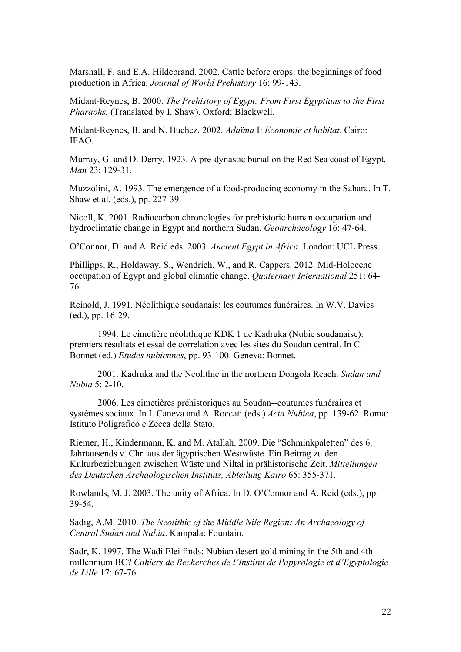Marshall, F. and E.A. Hildebrand. 2002. Cattle before crops: the beginnings of food production in Africa. *Journal of World Prehistory* 16: 99-143.

 $\overline{a}$ 

Midant-Reynes, B. 2000. *The Prehistory of Egypt: From First Egyptians to the First Pharaohs.* (Translated by I. Shaw). Oxford: Blackwell.

Midant-Reynes, B. and N. Buchez. 2002. *Adaïma* I: *Economie et habitat*. Cairo: IFAO.

Murray, G. and D. Derry. 1923. A pre-dynastic burial on the Red Sea coast of Egypt. *Man* 23: 129-31.

Muzzolini, A. 1993. The emergence of a food-producing economy in the Sahara. In T. Shaw et al. (eds.), pp. 227-39.

Nicoll, K. 2001. Radiocarbon chronologies for prehistoric human occupation and hydroclimatic change in Egypt and northern Sudan. *Geoarchaeology* 16: 47-64.

O'Connor, D. and A. Reid eds. 2003. *Ancient Egypt in Africa.* London: UCL Press.

Phillipps, R., Holdaway, S., Wendrich, W., and R. Cappers. 2012. Mid-Holocene occupation of Egypt and global climatic change. *Quaternary International* 251: 64- 76.

Reinold, J. 1991. Néolithique soudanais: les coutumes funéraires. In W.V. Davies (ed.), pp. 16-29.

1994. Le cimetière néolithique KDK 1 de Kadruka (Nubie soudanaise): premiers résultats et essai de correlation avec les sites du Soudan central. In C. Bonnet (ed.) *Etudes nubiennes*, pp. 93-100. Geneva: Bonnet.

2001. Kadruka and the Neolithic in the northern Dongola Reach. *Sudan and Nubia* 5: 2-10.

2006. Les cimetières préhistoriques au Soudan--coutumes funéraires et systèmes sociaux. In I. Caneva and A. Roccati (eds.) *Acta Nubica*, pp. 139-62. Roma: Istituto Poligrafico e Zecca della Stato.

Riemer, H., Kindermann, K. and M. Atallah. 2009. Die "Schminkpaletten" des 6. Jahrtausends v. Chr. aus der ägyptischen Westwüste. Ein Beitrag zu den Kulturbeziehungen zwischen Wüste und Niltal in prähistorische Zeit. *Mitteilungen des Deutschen Archäologischen Instituts, Abteilung Kairo* 65: 355-371.

Rowlands, M. J. 2003. The unity of Africa. In D. O'Connor and A. Reid (eds.), pp. 39-54.

Sadig, A.M. 2010. *The Neolithic of the Middle Nile Region: An Archaeology of Central Sudan and Nubia*. Kampala: Fountain.

Sadr, K. 1997. The Wadi Elei finds: Nubian desert gold mining in the 5th and 4th millennium BC? *Cahiers de Recherches de l'Institut de Papyrologie et d'Egyptologie de Lille* 17: 67-76.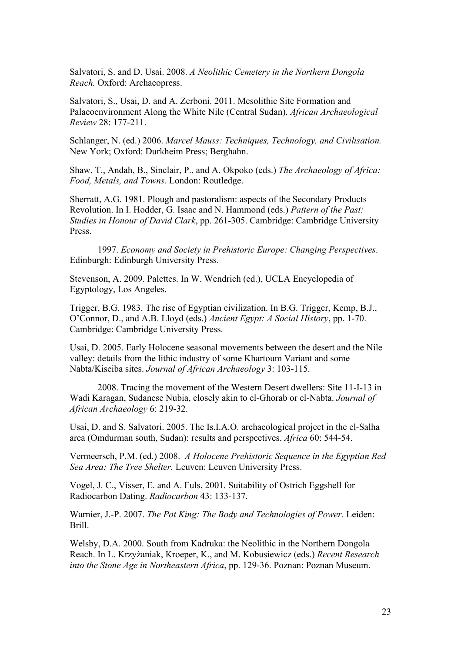Salvatori, S. and D. Usai. 2008. *A Neolithic Cemetery in the Northern Dongola Reach.* Oxford: Archaeopress.

 $\overline{a}$ 

Salvatori, S., Usai, D. and A. Zerboni. 2011. Mesolithic Site Formation and Palaeoenvironment Along the White Nile (Central Sudan). *African Archaeological Review* 28: 177-211.

Schlanger, N. (ed.) 2006. *Marcel Mauss: Techniques, Technology, and Civilisation.*  New York; Oxford: Durkheim Press; Berghahn.

Shaw, T., Andah, B., Sinclair, P., and A. Okpoko (eds.) *The Archaeology of Africa: Food, Metals, and Towns.* London: Routledge.

Sherratt, A.G. 1981. Plough and pastoralism: aspects of the Secondary Products Revolution. In I. Hodder, G. Isaac and N. Hammond (eds.) *Pattern of the Past: Studies in Honour of David Clark*, pp. 261-305. Cambridge: Cambridge University Press.

1997. *Economy and Society in Prehistoric Europe: Changing Perspectives*. Edinburgh: Edinburgh University Press.

Stevenson, A. 2009. Palettes. In W. Wendrich (ed.), UCLA Encyclopedia of Egyptology, Los Angeles.

Trigger, B.G. 1983. The rise of Egyptian civilization. In B.G. Trigger, Kemp, B.J., O'Connor, D., and A.B. Lloyd (eds.) *Ancient Egypt: A Social History*, pp. 1-70. Cambridge: Cambridge University Press.

Usai, D. 2005. Early Holocene seasonal movements between the desert and the Nile valley: details from the lithic industry of some Khartoum Variant and some Nabta/Kiseiba sites. *Journal of African Archaeology* 3: 103-115.

2008. Tracing the movement of the Western Desert dwellers: Site 11-I-13 in Wadi Karagan, Sudanese Nubia, closely akin to el-Ghorab or el-Nabta. *Journal of African Archaeology* 6: 219-32.

Usai, D. and S. Salvatori. 2005. The Is.I.A.O. archaeological project in the el-Salha area (Omdurman south, Sudan): results and perspectives. *Africa* 60: 544-54.

Vermeersch, P.M. (ed.) 2008. *A Holocene Prehistoric Sequence in the Egyptian Red Sea Area: The Tree Shelter.* Leuven: Leuven University Press.

Vogel, J. C., Visser, E. and A. Fuls. 2001. Suitability of Ostrich Eggshell for Radiocarbon Dating. *Radiocarbon* 43: 133-137.

Warnier, J.-P. 2007. *The Pot King: The Body and Technologies of Power.* Leiden: Brill.

Welsby, D.A. 2000. South from Kadruka: the Neolithic in the Northern Dongola Reach. In L. Krzyżaniak, Kroeper, K., and M. Kobusiewicz (eds.) *Recent Research into the Stone Age in Northeastern Africa*, pp. 129-36. Poznan: Poznan Museum.